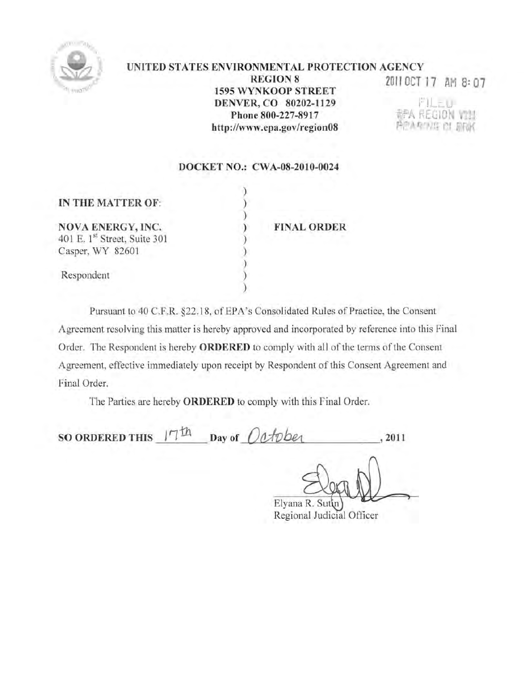

#### UNITED STATES ENVIRONMENTAL PROTECTION AGENCY **REGION 8** 2011 OCT 17 AM 8: 07 1595 WYNKOOP STREET I)ENVER, CO 80202-1129 FILET. 翻入 REGION VIII Phone 800-227-8917 PEARTUS CL BRK http://www.epa.gov/region08

## DOCKET NO.: CWA-OB-2010-0024

) ) ) ) ) ) ) ) )

|  | IN THE MATTER OF: |  |
|--|-------------------|--|
|  |                   |  |

NOVA ENERGY, INC. 401 E. 1st Street, Suite 301 Casper, WY 82601

Respondent

FINAL ORDER

Pursuant to 40 C.F.R. §22.18, of EPA's Consolidated Rules of Practice, the Consent Agreement resolving this matter is hereby approved and incorporated by reference into this Final Order. The Respondent is hereby **ORDERED** to comply with all of the terms of the Consent Agreement, effective immediately upon receipt by Respondent of this Consent Agreement and Final Order.

The Parties are hereby **ORDERED** to comply with this Final Order.

SO ORDERED THIS  $17th$  Day of October , 2011

Elyana R. Sutin Regional Judicial Oflicer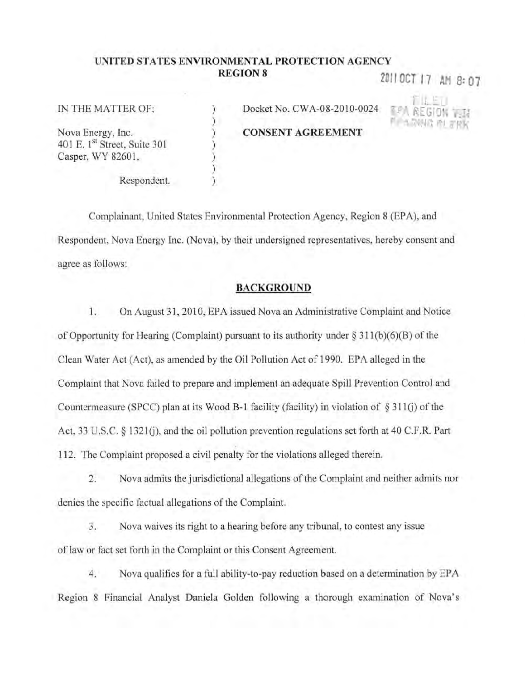# UNITED STATES ENVIRONMENTAL PROTECTION AGENCY **REGION 8** 2011 OCT 17 AM 8: 07

) ) ) ) ) ) )

#### IN THE MATTER OF:

Nova Energy, Inc. 401 E. 1st Street, Suite 301 Casper, WY 82601,

Docket No. CWA-08-20 10-0024 **CONSENT AGREEMENT** 

Respondent.

Complainant, United States Environmental Protection Agency. Region 8 (EPA), and Respondent, Nova Energy Inc. (Nova), by their undersigned representatives, hereby consent and agree as follows:

## BACKGROUND

1. On August 31, 2010, EPA issued Nova an Administrative Complaint and Notice of Opportunity for Hearing (Complaint) pursuant to its authority under  $\S 311(b)(6)(B)$  of the Clean Water Act (Act), as amended by the Oil Pollution Act of 1990. EPA alleged in the Complaint that Nova failed to prepare and implement an adequate Spill Prevention Control and Countermeasure (SPCC) plan at its Wood B-1 facility (facility) in violation of  $\S$  311(j) of the Act, 33 U.S.C. § 1321(j), and the oil pollution prevention regulations set forth at 40 C.F.R. Part 112. The Complaint proposed a civil penalty for the violations alleged therein.

2. Nova admits the jurisdictional allegations of the Complaint and neither admits nor denies the specific factual allegations of the Complaint.

3. Nova waives its right to a hearing before any tribunal, to contest any issue of law or fact set forth in the Complaint or this Consent Agreement.

4. Nova qualifies for a full ability-to-pay reduction based on a determination by EPA Region 8 Financial Analyst Daniela Golden following a thorough examination of Nova's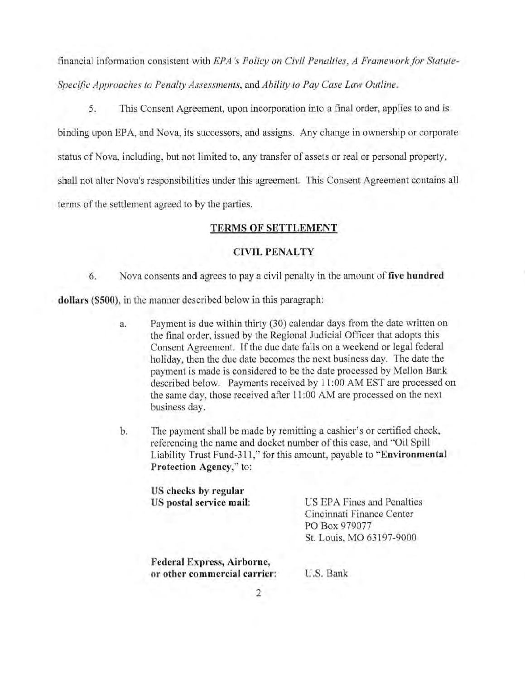financial information consistent with *EPA's Policy on Civil Penalties, A Framework for Statute*-*Specific Approaches to Penalty Assessments,* and *Ability to Pay Case Law Outline.* 

5. This Consent Agreement, upon incorporation into a final order, applies to and is binding upon EPA, and Nova, its successors, and assigns. Any change in ownership or corporate status of Nova, including, but not limited to, any transfer of assets or real or personal property, shall not alter Nova's responsibilities under this agreement. This Consent Agreement contains all terms of the settlement agreed to by the parties.

### TERMS OF SETTLEMENT

#### **CIVIL PENALTY**

6. Nova consents and agrees to pay a civil penalty in the amount of five hundred

dollars (\$SOO), in the manner described below in this paragraph:

- a. Payment is due within thirty (30) calendar days from the date written on the tinal order, issued by the Regional Judicial Officer that adopts this Consent Agreement. If the due date falls on a weekend or legal federal holiday, then the due date becomes the next business day. The date the payment is made is considered to be the date processed by Mellon Bank described below. Payments received by 11 :00 AM EST are processed on the same day, those received after 11 :00 AM are processed on the next business day.
- b. The payment shall be made by remitting a cashier's or certified check, referencing the name and docket number of this case, and "Oil Spill Liability Trust Fund-311," for this amount, payable to "Environmental Protection Agency," to:

| US checks by regular              |                            |
|-----------------------------------|----------------------------|
| US postal service mail:           | US EPA Fines and Penalties |
|                                   | Cincinnati Finance Center  |
|                                   | PO Box 979077              |
|                                   | St. Louis, MO 63197-9000   |
| <b>Federal Express, Airborne,</b> |                            |

U.S. Bank

2

or other commercial carrier: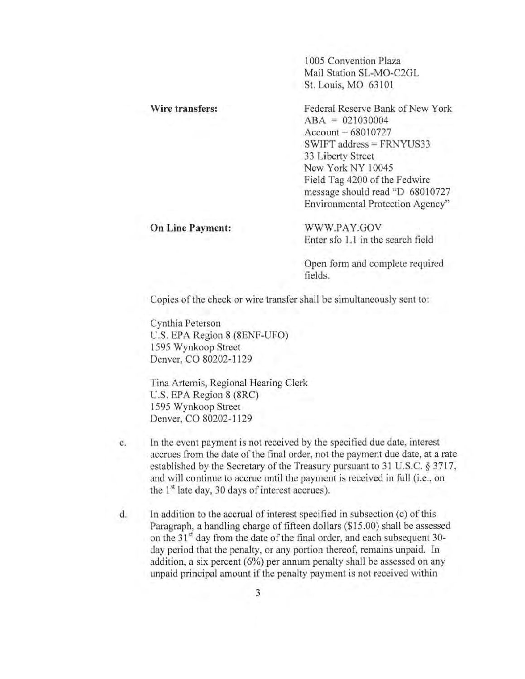**1005 Convention Plaza**  Mail Station SL-MO-C2GL Sl. Louis, MO 63101

**Wire transfers: On Line Payment: Federal Reserve Bank of New York**  $ABA = 021030004$  $Account = 68010727$  $SWIFT$  address  $=$   $FRNYU$ S33 **33 Liberty Street**  New York NY 10045 Field Tag 4200 of the Fedwire message should read "D 68010727 **Environmental Protection Agency"**  WWW.PAY.GOY **Enter sfo 1.1 in the search field** 

**Open form and complete required fields.** 

**Copies** of the **check or wire transfer shall be simultaneously sent to:** 

**Cynthia Peterson**  U.S. EPA Region 8 (SENF-UFO) 1595 Wynkoop Street Denver, CO 80202-1129

**Tina Artemis, Regional Hearing Clerk**  U.S. EPA Region 8 (SRC) 1595 Wynkoop Street Denver, CO S0202-1129

- **c. In the event payment is not received by the specified due date, interest accrues from the date** of the **final order, not the payment due date, at a rate**  established by the Secretary of the Treasury pursuant to 31 U.S.C. § 3717, **and will continue to accrue until the payment is received in full (i.e., on**  the  $1<sup>st</sup>$  late day, 30 days of interest accrues).
- **d. In addition to the accrual** of interest **specified in subsection (c)** of this Paragraph, a handling charge of fifteen dollars (\$15.00) shall be assessed on the 31<sup>st</sup> day from the date of the final order, and each subsequent 30**day period that the penalty. or any portion thereof, remains unpaid. In addition, a six percent (6%) per annum penalty shall be assessed on any unpaid principal amount** if the **penalty payment is not received within**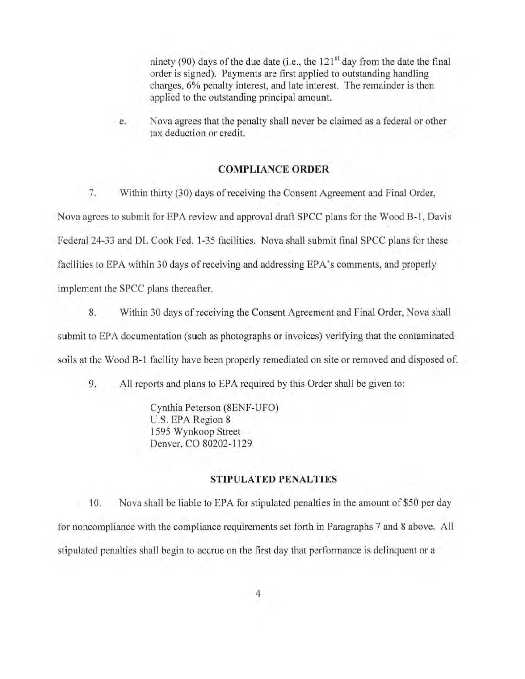ninety (90) days of the due date (i.e., the  $121<sup>st</sup>$  day from the date the final order is signed). Payments arc first applied to outstanding handling charges, 6% penalty interest, and late interest. The remainder is then applied to the outstanding principal amount.

c. Nova agrees that the penalty shall never be claimed as a federal or other tax deduction or credit.

## COMPLIANCE ORDER

7. Within thirty (30) days of receiving the Consent Agreement and Final Order, Nova agrees to submit for EPA review and approval draft SPCC plans for the Wood B-1, Davis Federal 24-33 and DL Cook Fed. 1-35 facilities. Nova shall submit final SPCC plans for these facilities to EPA within 30 days of receiving and addressing EPA's conunents, and properly implement the SPCC plans thereafter.

8. Within 30 days of receiving the Consent Agreement and Final Order, Nova shall submit to EPA documentation (such as photographs or invoices) verifying that the contaminated soils at the Wood B-1 facility have been properly remediated on site or removed and disposed of.

9. All reports and plans to EPA required by this Order shall be given to:

Cynthia Peterson (8ENF-UFO) U.S. EPA Region 8 1595 Wynkoop Street Denver, CO 80202-1129

#### STIPULATED PENALTIES

10. Nova shall be liable to EPA for stipulated penalties in the amount of \$50 per day for noncompliance with the compliance requirements set forth in Paragraphs 7 and 8 above. All stipulated penalties shall begin to accrue on the first day that performance is delinquent or a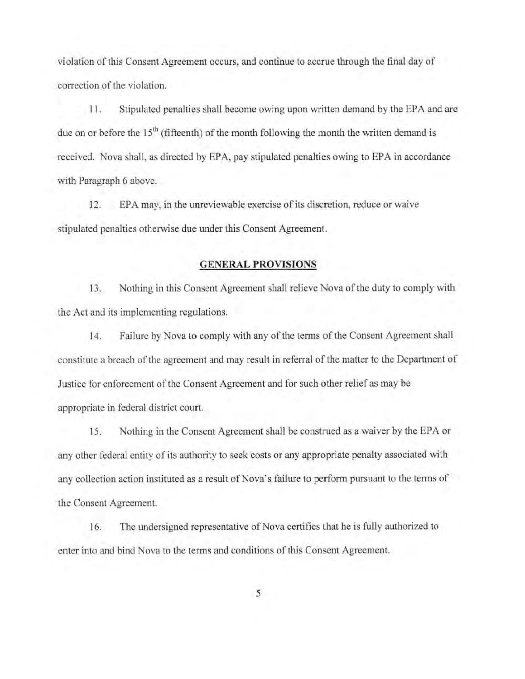violation of this Consent Agreement occurs, and continue to accrue through the final day of correction of the violation.

11. Stipulated penalties shall become owing upon written demand by the EPA and are due on or before the  $15<sup>th</sup>$  (fifteenth) of the month following the month the written demand is received. Nova shall, as directed by EPA, pay stipulated penalties owing to EPA in accordance with Paragraph 6 above.

12. EPA may, in the unreviewable exercise of its discretion, reduce or waive stipulated penalties otherwise due under this Consent Agreement.

### GENERAL PROVISIONS

13. Nothing in this Consent Agreement shall relieve Nova of the duty to comply with the Act and its implementing regulations.

14. Failure by Nova to comply with any of the terms of the Consent Agreement shall constitute a breach of the agreement and may result in referral of the matter to the Department of Justice for enforcement of the Consent Agreement and for such other relief as may be appropriate in federal district court.

15. Nothing in the Consent Agreement shall be construed as a waiver by the EPA or any other federal entity of its authority to seek costs or any appropriate penalty associated with any collection action instituted as a result of Nova's failure to perform pursuant to the terms of the Consent Agreement.

16. The undersigned representative of Nova certifies that he is fully authorized to enter into and bind Nova to the terms and conditions of this Consent Agreement.

5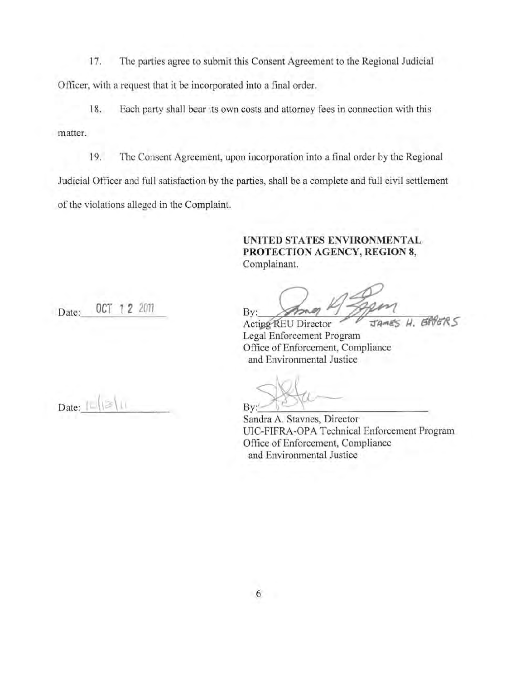17. The parties agree to submit this Consent Agreement to the Regional Judicial Officer, with a request that it be incorporated into a final order.

18. Each party shall bear its own costs and attorney fees in connection with this matter.

19. The Consent Agreement, upon incorporation into a final order by the Regional Judicial Officer and full satisfaction by the parties, shall be a complete and full civil settlement of the violations alleged in the Complaint.

## UNITED STATES ENVIRONMENTAL PROTECTION AGENCY, REGION 8, Complainant.

Date: 0CT 1 2 2011

By: JAMES H. BRUERS

Lega l Enforcement Program ACURP KEU DIFECIO Office of Enforcement, Compliance and Environmental Justice

Date:

 $B_y:$   $\rightarrow$   $\rightarrow$   $\rightarrow$ 

Sandra A. Stavnes, Director UIC-FIFRA-OPA Technical Enforcement Program Office of Enforcement, Compliance and Environmental Justice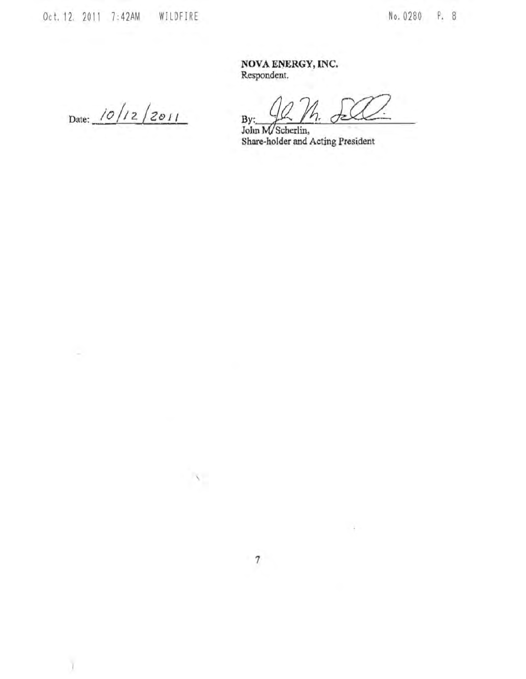Del. 12. 2011 7:42AM WILDFIRE

No. 0280 P. 8

NOVA ENERGY,INC. **Respondent.** 

Date:  $10/12/2011$ 

s

ī

 $\frac{1}{2}$   $\frac{1}{2}$   $\frac{1}{2}$   $\frac{1}{2}$ 

**Share-holder and Acting President** 

÷

,